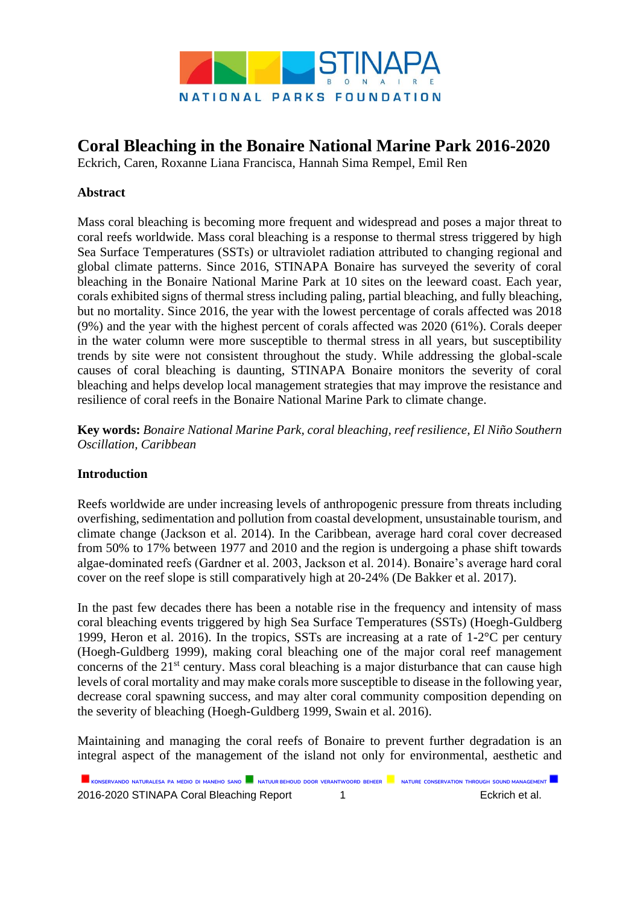

# **Coral Bleaching in the Bonaire National Marine Park 2016-2020**

Eckrich, Caren, Roxanne Liana Francisca, Hannah Sima Rempel, Emil Ren

## **Abstract**

Mass coral bleaching is becoming more frequent and widespread and poses a major threat to coral reefs worldwide. Mass coral bleaching is a response to thermal stress triggered by high Sea Surface Temperatures (SSTs) or ultraviolet radiation attributed to changing regional and global climate patterns. Since 2016, STINAPA Bonaire has surveyed the severity of coral bleaching in the Bonaire National Marine Park at 10 sites on the leeward coast. Each year, corals exhibited signs of thermal stress including paling, partial bleaching, and fully bleaching, but no mortality. Since 2016, the year with the lowest percentage of corals affected was 2018 (9%) and the year with the highest percent of corals affected was 2020 (61%). Corals deeper in the water column were more susceptible to thermal stress in all years, but susceptibility trends by site were not consistent throughout the study. While addressing the global-scale causes of coral bleaching is daunting, STINAPA Bonaire monitors the severity of coral bleaching and helps develop local management strategies that may improve the resistance and resilience of coral reefs in the Bonaire National Marine Park to climate change.

**Key words:** *Bonaire National Marine Park, coral bleaching, reef resilience, El Niño Southern Oscillation, Caribbean*

#### **Introduction**

Reefs worldwide are under increasing levels of anthropogenic pressure from threats including overfishing, sedimentation and pollution from coastal development, unsustainable tourism, and climate change (Jackson et al. 2014). In the Caribbean, average hard coral cover decreased from 50% to 17% between 1977 and 2010 and the region is undergoing a phase shift towards algae-dominated reefs (Gardner et al. 2003, Jackson et al. 2014). Bonaire's average hard coral cover on the reef slope is still comparatively high at 20-24% (De Bakker et al. 2017).

In the past few decades there has been a notable rise in the frequency and intensity of mass coral bleaching events triggered by high Sea Surface Temperatures (SSTs) (Hoegh-Guldberg 1999, Heron et al. 2016). In the tropics, SSTs are increasing at a rate of 1-2°C per century (Hoegh-Guldberg 1999), making coral bleaching one of the major coral reef management concerns of the 21<sup>st</sup> century. Mass coral bleaching is a major disturbance that can cause high levels of coral mortality and may make corals more susceptible to disease in the following year, decrease coral spawning success, and may alter coral community composition depending on the severity of bleaching (Hoegh-Guldberg 1999, Swain et al. 2016).

Maintaining and managing the coral reefs of Bonaire to prevent further degradation is an integral aspect of the management of the island not only for environmental, aesthetic and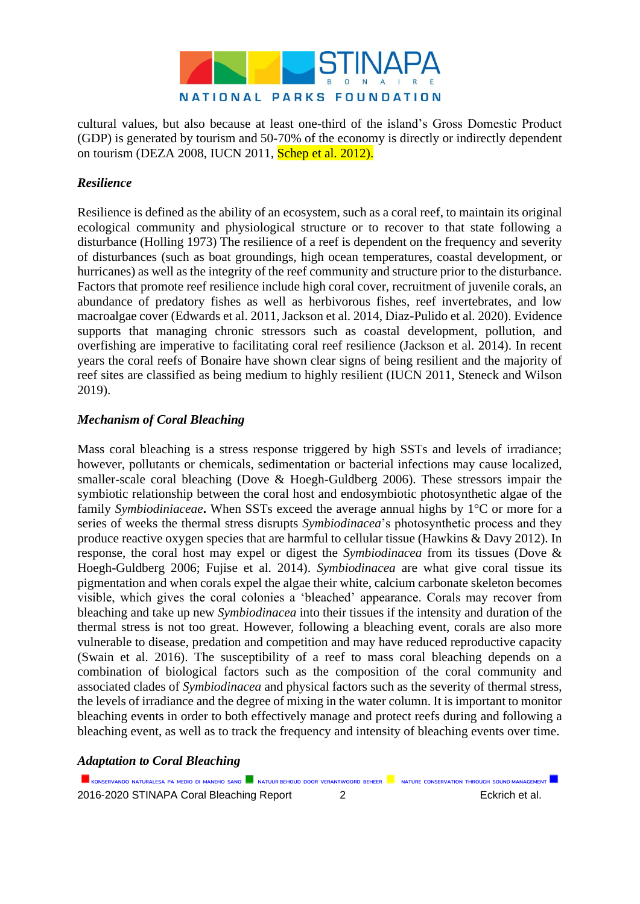

cultural values, but also because at least one-third of the island's Gross Domestic Product (GDP) is generated by tourism and 50-70% of the economy is directly or indirectly dependent on tourism (DEZA 2008, IUCN 2011, Schep et al. 2012).

# *Resilience*

Resilience is defined as the ability of an ecosystem, such as a coral reef, to maintain its original ecological community and physiological structure or to recover to that state following a disturbance (Holling 1973) The resilience of a reef is dependent on the frequency and severity of disturbances (such as boat groundings, high ocean temperatures, coastal development, or hurricanes) as well as the integrity of the reef community and structure prior to the disturbance. Factors that promote reef resilience include high coral cover, recruitment of juvenile corals, an abundance of predatory fishes as well as herbivorous fishes, reef invertebrates, and low macroalgae cover (Edwards et al. 2011, Jackson et al. 2014, Diaz-Pulido et al. 2020). Evidence supports that managing chronic stressors such as coastal development, pollution, and overfishing are imperative to facilitating coral reef resilience (Jackson et al. 2014). In recent years the coral reefs of Bonaire have shown clear signs of being resilient and the majority of reef sites are classified as being medium to highly resilient (IUCN 2011, Steneck and Wilson 2019).

### *Mechanism of Coral Bleaching*

Mass coral bleaching is a stress response triggered by high SSTs and levels of irradiance; however, pollutants or chemicals, sedimentation or bacterial infections may cause localized, smaller-scale coral bleaching (Dove & Hoegh-Guldberg 2006). These stressors impair the symbiotic relationship between the coral host and endosymbiotic photosynthetic algae of the family *Symbiodiniaceae***.** When SSTs exceed the average annual highs by 1°C or more for a series of weeks the thermal stress disrupts *Symbiodinacea*'s photosynthetic process and they produce reactive oxygen species that are harmful to cellular tissue (Hawkins & Davy 2012). In response, the coral host may expel or digest the *Symbiodinacea* from its tissues (Dove & Hoegh-Guldberg 2006; Fujise et al. 2014). *Symbiodinacea* are what give coral tissue its pigmentation and when corals expel the algae their white, calcium carbonate skeleton becomes visible, which gives the coral colonies a 'bleached' appearance. Corals may recover from bleaching and take up new *Symbiodinacea* into their tissues if the intensity and duration of the thermal stress is not too great. However, following a bleaching event, corals are also more vulnerable to disease, predation and competition and may have reduced reproductive capacity (Swain et al. 2016). The susceptibility of a reef to mass coral bleaching depends on a combination of biological factors such as the composition of the coral community and associated clades of *Symbiodinacea* and physical factors such as the severity of thermal stress, the levels of irradiance and the degree of mixing in the water column. It is important to monitor bleaching events in order to both effectively manage and protect reefs during and following a bleaching event, as well as to track the frequency and intensity of bleaching events over time.

#### *Adaptation to Coral Bleaching*

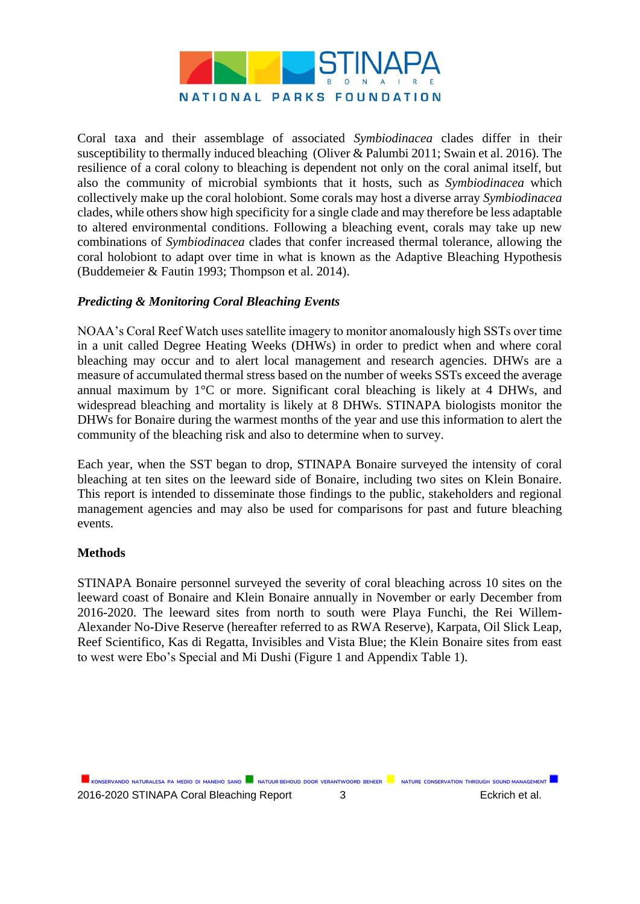

Coral taxa and their assemblage of associated *Symbiodinacea* clades differ in their susceptibility to thermally induced bleaching (Oliver & Palumbi 2011; Swain et al. 2016)*.* The resilience of a coral colony to bleaching is dependent not only on the coral animal itself, but also the community of microbial symbionts that it hosts, such as *Symbiodinacea* which collectively make up the coral holobiont. Some corals may host a diverse array *Symbiodinacea* clades, while others show high specificity for a single clade and may therefore be less adaptable to altered environmental conditions. Following a bleaching event, corals may take up new combinations of *Symbiodinacea* clades that confer increased thermal tolerance, allowing the coral holobiont to adapt over time in what is known as the Adaptive Bleaching Hypothesis (Buddemeier & Fautin 1993; Thompson et al. 2014).

### *Predicting & Monitoring Coral Bleaching Events*

NOAA's Coral Reef Watch uses satellite imagery to monitor anomalously high SSTs over time in a unit called Degree Heating Weeks (DHWs) in order to predict when and where coral bleaching may occur and to alert local management and research agencies. DHWs are a measure of accumulated thermal stress based on the number of weeks SSTs exceed the average annual maximum by 1°C or more. Significant coral bleaching is likely at 4 DHWs, and widespread bleaching and mortality is likely at 8 DHWs. STINAPA biologists monitor the DHWs for Bonaire during the warmest months of the year and use this information to alert the community of the bleaching risk and also to determine when to survey.

Each year, when the SST began to drop, STINAPA Bonaire surveyed the intensity of coral bleaching at ten sites on the leeward side of Bonaire, including two sites on Klein Bonaire. This report is intended to disseminate those findings to the public, stakeholders and regional management agencies and may also be used for comparisons for past and future bleaching events.

#### **Methods**

STINAPA Bonaire personnel surveyed the severity of coral bleaching across 10 sites on the leeward coast of Bonaire and Klein Bonaire annually in November or early December from 2016-2020. The leeward sites from north to south were Playa Funchi, the Rei Willem-Alexander No-Dive Reserve (hereafter referred to as RWA Reserve), Karpata, Oil Slick Leap, Reef Scientifico, Kas di Regatta, Invisibles and Vista Blue; the Klein Bonaire sites from east to west were Ebo's Special and Mi Dushi (Figure 1 and Appendix Table 1).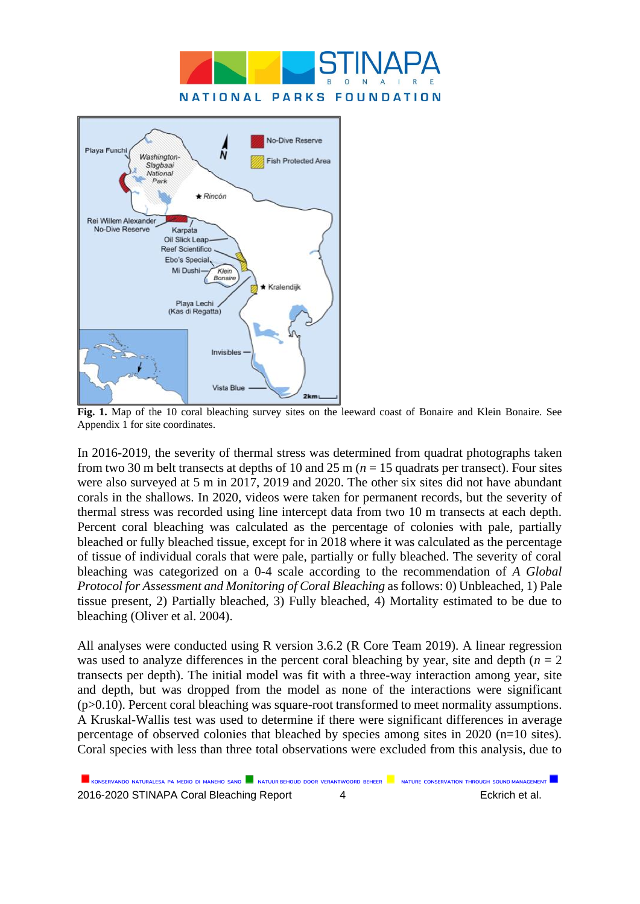



**Fig. 1.** Map of the 10 coral bleaching survey sites on the leeward coast of Bonaire and Klein Bonaire. See Appendix 1 for site coordinates.

In 2016-2019, the severity of thermal stress was determined from quadrat photographs taken from two 30 m belt transects at depths of 10 and 25 m ( $n = 15$  quadrats per transect). Four sites were also surveyed at 5 m in 2017, 2019 and 2020. The other six sites did not have abundant corals in the shallows. In 2020, videos were taken for permanent records, but the severity of thermal stress was recorded using line intercept data from two 10 m transects at each depth. Percent coral bleaching was calculated as the percentage of colonies with pale, partially bleached or fully bleached tissue, except for in 2018 where it was calculated as the percentage of tissue of individual corals that were pale, partially or fully bleached. The severity of coral bleaching was categorized on a 0-4 scale according to the recommendation of *A Global Protocol for Assessment and Monitoring of Coral Bleaching* as follows: 0) Unbleached, 1) Pale tissue present, 2) Partially bleached, 3) Fully bleached, 4) Mortality estimated to be due to bleaching (Oliver et al. 2004).

All analyses were conducted using R version 3.6.2 (R Core Team 2019). A linear regression was used to analyze differences in the percent coral bleaching by year, site and depth  $(n = 2)$ transects per depth). The initial model was fit with a three-way interaction among year, site and depth, but was dropped from the model as none of the interactions were significant (p>0.10). Percent coral bleaching was square-root transformed to meet normality assumptions. A Kruskal-Wallis test was used to determine if there were significant differences in average percentage of observed colonies that bleached by species among sites in 2020 (n=10 sites). Coral species with less than three total observations were excluded from this analysis, due to

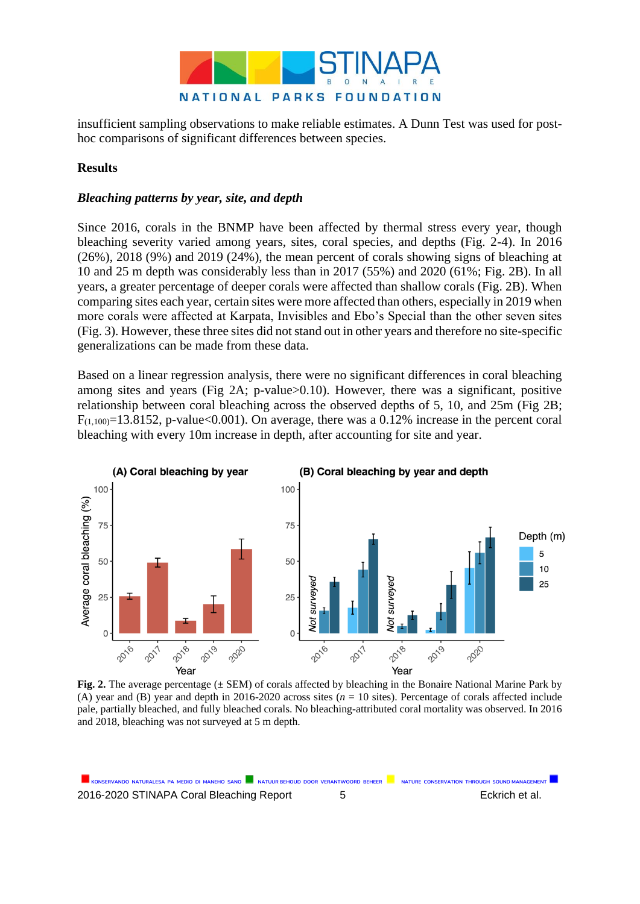

insufficient sampling observations to make reliable estimates. A Dunn Test was used for posthoc comparisons of significant differences between species.

#### **Results**

#### *Bleaching patterns by year, site, and depth*

Since 2016, corals in the BNMP have been affected by thermal stress every year, though bleaching severity varied among years, sites, coral species, and depths (Fig. 2-4). In 2016 (26%), 2018 (9%) and 2019 (24%), the mean percent of corals showing signs of bleaching at 10 and 25 m depth was considerably less than in 2017 (55%) and 2020 (61%; Fig. 2B). In all years, a greater percentage of deeper corals were affected than shallow corals (Fig. 2B). When comparing sites each year, certain sites were more affected than others, especially in 2019 when more corals were affected at Karpata, Invisibles and Ebo's Special than the other seven sites (Fig. 3). However, these three sites did not stand out in other years and therefore no site-specific generalizations can be made from these data.

Based on a linear regression analysis, there were no significant differences in coral bleaching among sites and years (Fig 2A; p-value>0.10). However, there was a significant, positive relationship between coral bleaching across the observed depths of 5, 10, and 25m (Fig 2B;  $F_{(1,100)} = 13.8152$ , p-value<0.001). On average, there was a 0.12% increase in the percent coral bleaching with every 10m increase in depth, after accounting for site and year.



**Fig. 2.** The average percentage ( $\pm$  SEM) of corals affected by bleaching in the Bonaire National Marine Park by (A) year and (B) year and depth in 2016-2020 across sites (*n* = 10 sites). Percentage of corals affected include pale, partially bleached, and fully bleached corals. No bleaching-attributed coral mortality was observed. In 2016 and 2018, bleaching was not surveyed at 5 m depth.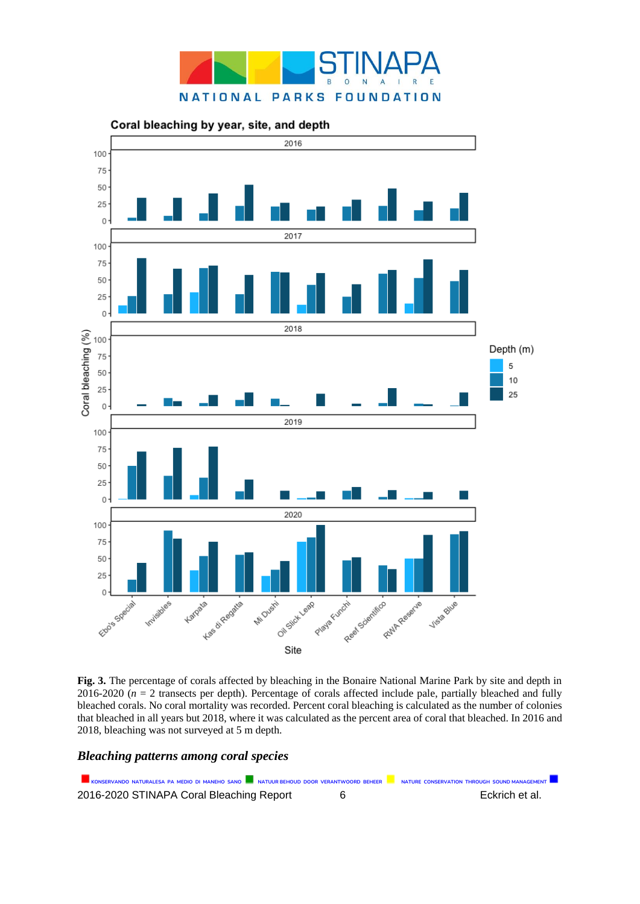



**Fig. 3.** The percentage of corals affected by bleaching in the Bonaire National Marine Park by site and depth in 2016-2020 ( $n = 2$  transects per depth). Percentage of corals affected include pale, partially bleached and fully bleached corals. No coral mortality was recorded. Percent coral bleaching is calculated as the number of colonies that bleached in all years but 2018, where it was calculated as the percent area of coral that bleached. In 2016 and 2018, bleaching was not surveyed at 5 m depth.

#### *Bleaching patterns among coral species*

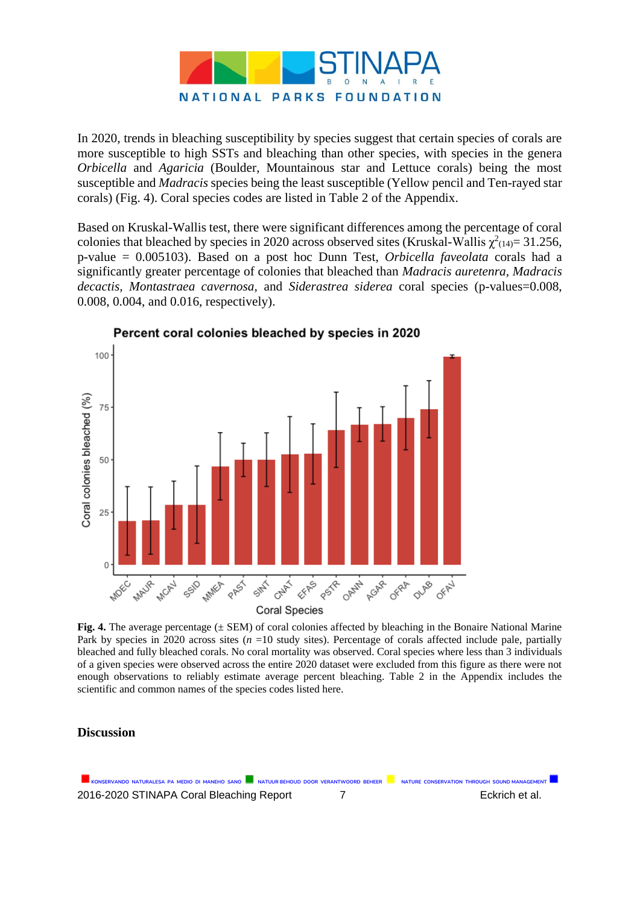

In 2020, trends in bleaching susceptibility by species suggest that certain species of corals are more susceptible to high SSTs and bleaching than other species, with species in the genera *Orbicella* and *Agaricia* (Boulder, Mountainous star and Lettuce corals) being the most susceptible and *Madracis* species being the least susceptible (Yellow pencil and Ten-rayed star corals) (Fig. 4). Coral species codes are listed in Table 2 of the Appendix.

Based on Kruskal-Wallis test, there were significant differences among the percentage of coral colonies that bleached by species in 2020 across observed sites (Kruskal-Wallis  $\chi^2(14)=31.256$ , p-value = 0.005103). Based on a post hoc Dunn Test, *Orbicella faveolata* corals had a significantly greater percentage of colonies that bleached than *Madracis auretenra, Madracis decactis, Montastraea cavernosa,* and *Siderastrea siderea* coral species (p-values=0.008, 0.008, 0.004, and 0.016, respectively).



Percent coral colonies bleached by species in 2020

**Fig. 4.** The average percentage ( $\pm$  SEM) of coral colonies affected by bleaching in the Bonaire National Marine Park by species in 2020 across sites (*n* =10 study sites). Percentage of corals affected include pale, partially bleached and fully bleached corals. No coral mortality was observed. Coral species where less than 3 individuals of a given species were observed across the entire 2020 dataset were excluded from this figure as there were not enough observations to reliably estimate average percent bleaching. Table 2 in the Appendix includes the scientific and common names of the species codes listed here.

#### **Discussion**

KONSERVANDO NATURALESA PA MEDIO DI MANEHO SANO **NATUUR BEHOUD DOOR VERANTWOORD BEHEER** NATURE CONSERVATION THROUGH SOUND MANAGEMENT 2016-2020 STINAPA Coral Bleaching Report 7 Eckrich et al.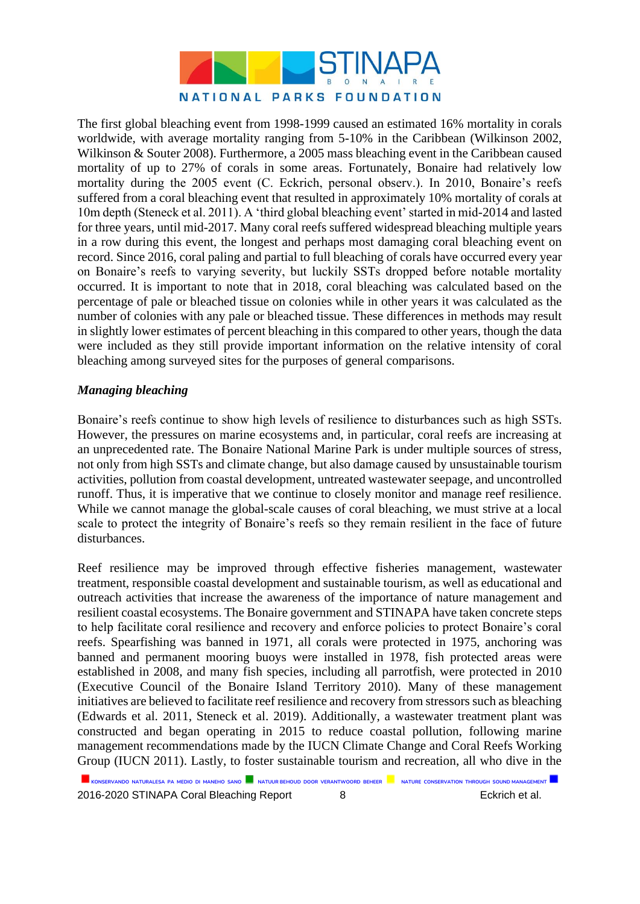

The first global bleaching event from 1998-1999 caused an estimated 16% mortality in corals worldwide, with average mortality ranging from 5-10% in the Caribbean (Wilkinson 2002, Wilkinson & Souter 2008). Furthermore, a 2005 mass bleaching event in the Caribbean caused mortality of up to 27% of corals in some areas. Fortunately, Bonaire had relatively low mortality during the 2005 event (C. Eckrich, personal observ.). In 2010, Bonaire's reefs suffered from a coral bleaching event that resulted in approximately 10% mortality of corals at 10m depth (Steneck et al. 2011). A 'third global bleaching event' started in mid-2014 and lasted for three years, until mid-2017. Many coral reefs suffered widespread bleaching multiple years in a row during this event, the longest and perhaps most damaging coral bleaching event on record. Since 2016, coral paling and partial to full bleaching of corals have occurred every year on Bonaire's reefs to varying severity, but luckily SSTs dropped before notable mortality occurred. It is important to note that in 2018, coral bleaching was calculated based on the percentage of pale or bleached tissue on colonies while in other years it was calculated as the number of colonies with any pale or bleached tissue. These differences in methods may result in slightly lower estimates of percent bleaching in this compared to other years, though the data were included as they still provide important information on the relative intensity of coral bleaching among surveyed sites for the purposes of general comparisons.

### *Managing bleaching*

Bonaire's reefs continue to show high levels of resilience to disturbances such as high SSTs. However, the pressures on marine ecosystems and, in particular, coral reefs are increasing at an unprecedented rate. The Bonaire National Marine Park is under multiple sources of stress, not only from high SSTs and climate change, but also damage caused by unsustainable tourism activities, pollution from coastal development, untreated wastewater seepage, and uncontrolled runoff. Thus, it is imperative that we continue to closely monitor and manage reef resilience. While we cannot manage the global-scale causes of coral bleaching, we must strive at a local scale to protect the integrity of Bonaire's reefs so they remain resilient in the face of future disturbances.

Reef resilience may be improved through effective fisheries management, wastewater treatment, responsible coastal development and sustainable tourism, as well as educational and outreach activities that increase the awareness of the importance of nature management and resilient coastal ecosystems. The Bonaire government and STINAPA have taken concrete steps to help facilitate coral resilience and recovery and enforce policies to protect Bonaire's coral reefs. Spearfishing was banned in 1971, all corals were protected in 1975, anchoring was banned and permanent mooring buoys were installed in 1978, fish protected areas were established in 2008, and many fish species, including all parrotfish, were protected in 2010 (Executive Council of the Bonaire Island Territory 2010). Many of these management initiatives are believed to facilitate reef resilience and recovery from stressors such as bleaching (Edwards et al. 2011, Steneck et al. 2019). Additionally, a wastewater treatment plant was constructed and began operating in 2015 to reduce coastal pollution, following marine management recommendations made by the IUCN Climate Change and Coral Reefs Working Group (IUCN 2011). Lastly, to foster sustainable tourism and recreation, all who dive in the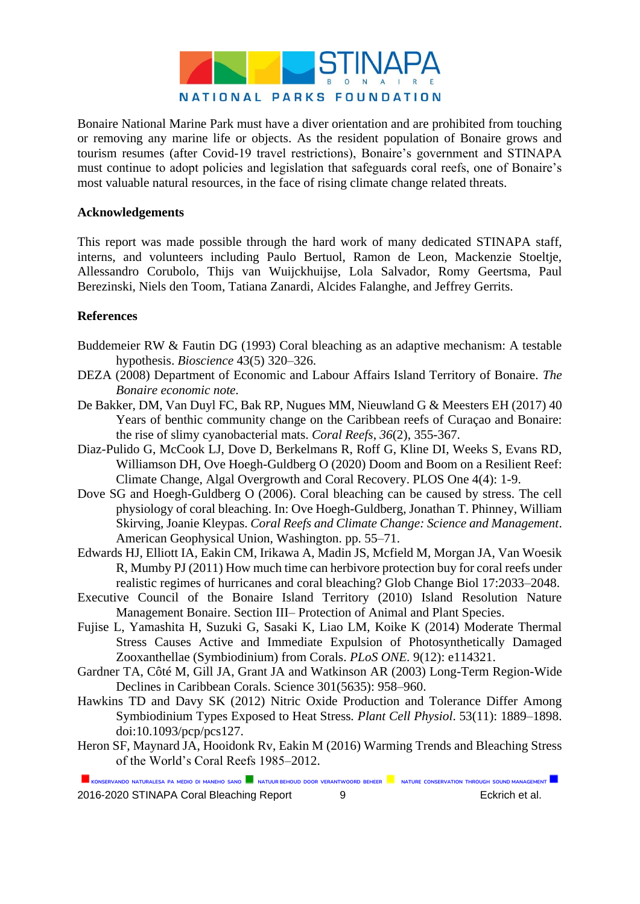

Bonaire National Marine Park must have a diver orientation and are prohibited from touching or removing any marine life or objects. As the resident population of Bonaire grows and tourism resumes (after Covid-19 travel restrictions), Bonaire's government and STINAPA must continue to adopt policies and legislation that safeguards coral reefs, one of Bonaire's most valuable natural resources, in the face of rising climate change related threats.

#### **Acknowledgements**

This report was made possible through the hard work of many dedicated STINAPA staff, interns, and volunteers including Paulo Bertuol, Ramon de Leon, Mackenzie Stoeltje, Allessandro Corubolo, Thijs van Wuijckhuijse, Lola Salvador, Romy Geertsma, Paul Berezinski, Niels den Toom, Tatiana Zanardi, Alcides Falanghe, and Jeffrey Gerrits.

#### **References**

- Buddemeier RW & Fautin DG (1993) Coral bleaching as an adaptive mechanism: A testable hypothesis. *Bioscience* 43(5) 320–326.
- DEZA (2008) Department of Economic and Labour Affairs Island Territory of Bonaire. *The Bonaire economic note.*
- De Bakker, DM, Van Duyl FC, Bak RP, Nugues MM, Nieuwland G & Meesters EH (2017) 40 Years of benthic community change on the Caribbean reefs of Curaçao and Bonaire: the rise of slimy cyanobacterial mats. *Coral Reefs*, *36*(2), 355-367.
- Diaz-Pulido G, McCook LJ, Dove D, Berkelmans R, Roff G, Kline DI, Weeks S, Evans RD, Williamson DH, Ove Hoegh-Guldberg O (2020) Doom and Boom on a Resilient Reef: Climate Change, Algal Overgrowth and Coral Recovery. PLOS One 4(4): 1-9.
- Dove SG and Hoegh-Guldberg O (2006). Coral bleaching can be caused by stress. The cell physiology of coral bleaching. In: Ove Hoegh-Guldberg, Jonathan T. Phinney, William Skirving, Joanie Kleypas. *Coral Reefs and Climate Change: Science and Management*. American Geophysical Union, Washington. pp. 55–71.
- Edwards HJ, Elliott IA, Eakin CM, Irikawa A, Madin JS, Mcfield M, Morgan JA, Van Woesik R, Mumby PJ (2011) How much time can herbivore protection buy for coral reefs under realistic regimes of hurricanes and coral bleaching? Glob Change Biol 17:2033–2048.
- Executive Council of the Bonaire Island Territory (2010) Island Resolution Nature Management Bonaire. Section III– Protection of Animal and Plant Species.
- Fujise L, Yamashita H, Suzuki G, Sasaki K, Liao LM, Koike K (2014) Moderate Thermal Stress Causes Active and Immediate Expulsion of Photosynthetically Damaged Zooxanthellae (Symbiodinium) from Corals. *PLoS ONE.* 9(12): e114321.
- Gardner TA, Côté M, Gill JA, Grant JA and Watkinson AR (2003) Long-Term Region-Wide Declines in Caribbean Corals. Science 301(5635): 958–960.
- Hawkins TD and Davy SK (2012) Nitric Oxide Production and Tolerance Differ Among Symbiodinium Types Exposed to Heat Stress*. Plant Cell Physiol*. 53(11): 1889–1898. doi:10.1093/pcp/pcs127.
- Heron SF, Maynard JA, Hooidonk Rv, Eakin M (2016) Warming Trends and Bleaching Stress of the World's Coral Reefs 1985–2012.

KONSERVANDO NATURALESA PA MEDIO DI MANEHO SANO **NATUUR BEHOUD DOOR VERANTWOORD BEHEER** NATURE CONSERVATION THROUGH SOUND MANAGEMENT

2016-2020 STINAPA Coral Bleaching Report 9 9 Eckrich et al.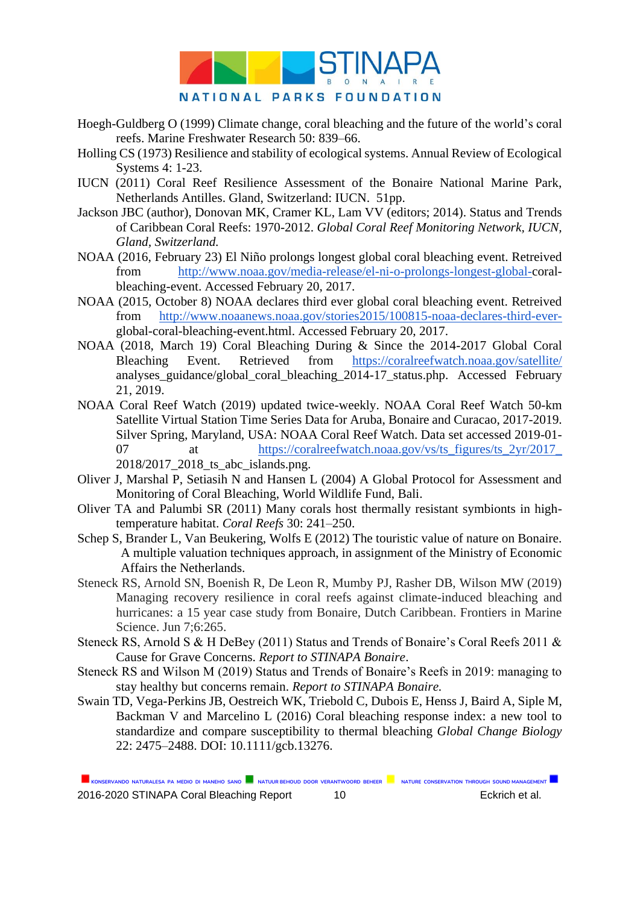

- Hoegh-Guldberg O (1999) Climate change, coral bleaching and the future of the world's coral reefs. Marine Freshwater Research 50: 839–66.
- Holling CS (1973) Resilience and stability of ecological systems. Annual Review of Ecological Systems 4: 1-23.
- IUCN (2011) Coral Reef Resilience Assessment of the Bonaire National Marine Park, Netherlands Antilles. Gland, Switzerland: IUCN. 51pp.
- Jackson JBC (author), Donovan MK, Cramer KL, Lam VV (editors; 2014). Status and Trends of Caribbean Coral Reefs: 1970-2012. *Global Coral Reef Monitoring Network, IUCN, Gland, Switzerland.*
- NOAA (2016, February 23) El Niño prolongs longest global coral bleaching event. Retreived from [http://www.noaa.gov/media-release/el-ni-o-prolongs-longest-global-c](http://www.noaa.gov/media-release/el-ni-o-prolongs-longest-global-)oralbleaching-event. Accessed February 20, 2017.
- NOAA (2015, October 8) NOAA declares third ever global coral bleaching event. Retreived from [http://www.noaanews.noaa.gov/stories2015/100815-noaa-declares-third-ever](http://www.noaanews.noaa.gov/stories2015/100815-noaa-declares-third-ever-)global-coral-bleaching-event.html. Accessed February 20, 2017.
- NOAA (2018, March 19) Coral Bleaching During & Since the 2014-2017 Global Coral Bleaching Event. Retrieved from <https://coralreefwatch.noaa.gov/satellite/> analyses\_guidance/global\_coral\_bleaching\_2014-17\_status.php. Accessed February 21, 2019.
- NOAA Coral Reef Watch (2019) updated twice-weekly. NOAA Coral Reef Watch 50-km Satellite Virtual Station Time Series Data for Aruba, Bonaire and Curacao, 2017-2019. Silver Spring, Maryland, USA: NOAA Coral Reef Watch. Data set accessed 2019-01 07 at [https://coralreefwatch.noaa.gov/vs/ts\\_figures/ts\\_2yr/2017\\_](https://coralreefwatch.noaa.gov/vs/ts_figures/ts_2yr/2017_) 2018/2017 2018 ts abc islands.png.
- Oliver J, Marshal P, Setiasih N and Hansen L (2004) A Global Protocol for Assessment and Monitoring of Coral Bleaching, World Wildlife Fund, Bali.
- Oliver TA and Palumbi SR (2011) Many corals host thermally resistant symbionts in hightemperature habitat. *Coral Reefs* 30: 241–250.
- Schep S, Brander L, Van Beukering, Wolfs E (2012) The touristic value of nature on Bonaire. A multiple valuation techniques approach, in assignment of the Ministry of Economic Affairs the Netherlands.
- Steneck RS, Arnold SN, Boenish R, De Leon R, Mumby PJ, Rasher DB, Wilson MW (2019) Managing recovery resilience in coral reefs against climate-induced bleaching and hurricanes: a 15 year case study from Bonaire, Dutch Caribbean. Frontiers in Marine Science. Jun 7;6:265.
- Steneck RS, Arnold S & H DeBey (2011) Status and Trends of Bonaire's Coral Reefs 2011 & Cause for Grave Concerns. *Report to STINAPA Bonaire*.
- Steneck RS and Wilson M (2019) Status and Trends of Bonaire's Reefs in 2019: managing to stay healthy but concerns remain. *Report to STINAPA Bonaire.*
- Swain TD, Vega-Perkins JB, Oestreich WK, Triebold C, Dubois E, Henss J, Baird A, Siple M, Backman V and Marcelino L (2016) Coral bleaching response index: a new tool to standardize and compare susceptibility to thermal bleaching *Global Change Biology* 22: 2475–2488. DOI: 10.1111/gcb.13276.

KONSERVANDO NATURALESA PA MEDIO DI MANEHO SANO **NATUUR BEHOUD DOOR VERANTWOORD BEHEER** NATURE CONSERVATION THROUGH SOUND MANAGEMENT 2016-2020 STINAPA Coral Bleaching Report 10 10 Eckrich et al.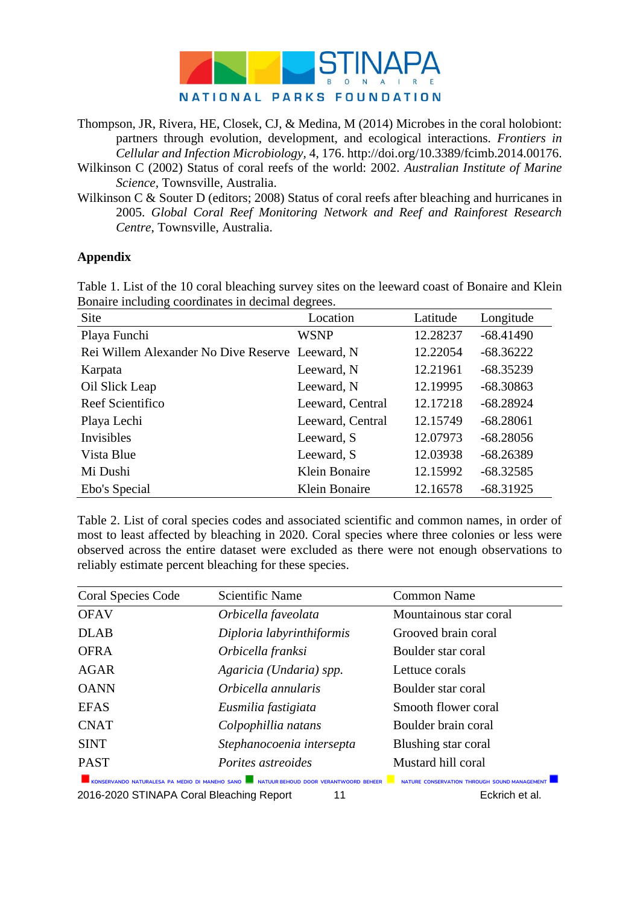

Thompson, JR, Rivera, HE, Closek, CJ, & Medina, M (2014) Microbes in the coral holobiont: partners through evolution, development, and ecological interactions. *Frontiers in Cellular and Infection Microbiology,* 4, 176. http://doi.org/10.3389/fcimb.2014.00176.

Wilkinson C (2002) Status of coral reefs of the world: 2002. *Australian Institute of Marine Science,* Townsville, Australia.

Wilkinson C & Souter D (editors; 2008) Status of coral reefs after bleaching and hurricanes in 2005. *Global Coral Reef Monitoring Network and Reef and Rainforest Research Centre*, Townsville, Australia.

#### **Appendix**

Table 1. List of the 10 coral bleaching survey sites on the leeward coast of Bonaire and Klein Bonaire including coordinates in decimal degrees.

| Site                                            | Location         | Latitude | Longitude   |
|-------------------------------------------------|------------------|----------|-------------|
| Playa Funchi                                    | <b>WSNP</b>      | 12.28237 | $-68.41490$ |
| Rei Willem Alexander No Dive Reserve Leeward, N |                  | 12.22054 | $-68.36222$ |
| Karpata                                         | Leeward, N       | 12.21961 | $-68.35239$ |
| Oil Slick Leap                                  | Leeward, N       | 12.19995 | $-68.30863$ |
| Reef Scientifico                                | Leeward, Central | 12.17218 | $-68.28924$ |
| Playa Lechi                                     | Leeward, Central | 12.15749 | $-68.28061$ |
| Invisibles                                      | Leeward, S       | 12.07973 | $-68.28056$ |
| Vista Blue                                      | Leeward, S       | 12.03938 | $-68.26389$ |
| Mi Dushi                                        | Klein Bonaire    | 12.15992 | $-68.32585$ |
| Ebo's Special                                   | Klein Bonaire    | 12.16578 | $-68.31925$ |

Table 2. List of coral species codes and associated scientific and common names, in order of most to least affected by bleaching in 2020. Coral species where three colonies or less were observed across the entire dataset were excluded as there were not enough observations to reliably estimate percent bleaching for these species.

| <b>Coral Species Code</b> | Scientific Name                                                                                                               | <b>Common Name</b>                           |
|---------------------------|-------------------------------------------------------------------------------------------------------------------------------|----------------------------------------------|
| <b>OFAV</b>               | Orbicella faveolata                                                                                                           | Mountainous star coral                       |
| <b>DLAB</b>               | Diploria labyrinthiformis                                                                                                     | Grooved brain coral                          |
| <b>OFRA</b>               | Orbicella franksi                                                                                                             | Boulder star coral                           |
| <b>AGAR</b>               | Agaricia (Undaria) spp.                                                                                                       | Lettuce corals                               |
| <b>OANN</b>               | Orbicella annularis                                                                                                           | Boulder star coral                           |
| <b>EFAS</b>               | Eusmilia fastigiata                                                                                                           | Smooth flower coral                          |
| <b>CNAT</b>               | Colpophillia natans                                                                                                           | Boulder brain coral                          |
| <b>SINT</b>               | Stephanocoenia intersepta                                                                                                     | Blushing star coral                          |
| <b>PAST</b>               | Porites astreoides                                                                                                            | Mustard hill coral                           |
|                           | KONSERVANDO NATURALESA PA MEDIO DI MANEHO SANO <b>NATURALESA PA ALCO DE LA CONSERVANDO NATURALESA PA MEDIO DI MANEHO SANO</b> | NATURE CONSERVATION THROUGH SOUND MANAGEMENT |

2016-2020 STINAPA Coral Bleaching Report 11 Eckrich et al.